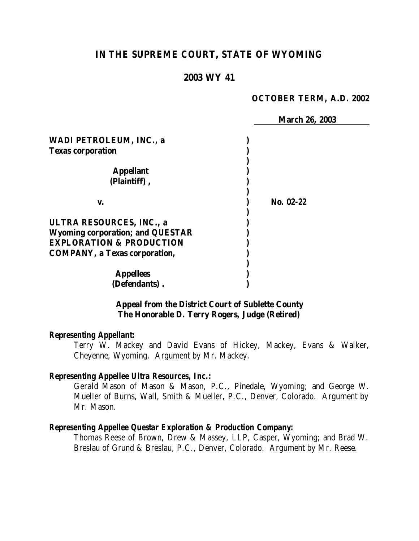## **IN THE SUPREME COURT, STATE OF WYOMING**

## **2003 WY 41**

#### **OCTOBER TERM, A.D. 2002**

 **March 26, 2003 WADI PETROLEUM, INC., a ) Texas corporation ) ) Appellant ) (Plaintiff) , ) ) v. ) No. 02-22 ) ULTRA RESOURCES, INC., a ) Wyoming corporation; and QUESTAR ) EXPLORATION & PRODUCTION ) COMPANY, a Texas corporation, ) ) Appellees ) (Defendants) . )**

## **Appeal from the District Court of Sublette County The Honorable D. Terry Rogers, Judge (Retired)**

#### *Representing Appellant:*

Terry W. Mackey and David Evans of Hickey, Mackey, Evans & Walker, Cheyenne, Wyoming. Argument by Mr. Mackey.

#### *Representing Appellee Ultra Resources, Inc.:*

Gerald Mason of Mason & Mason, P.C., Pinedale, Wyoming; and George W. Mueller of Burns, Wall, Smith & Mueller, P.C., Denver, Colorado. Argument by Mr. Mason.

#### *Representing Appellee Questar Exploration & Production Company:*

Thomas Reese of Brown, Drew & Massey, LLP, Casper, Wyoming; and Brad W. Breslau of Grund & Breslau, P.C., Denver, Colorado. Argument by Mr. Reese.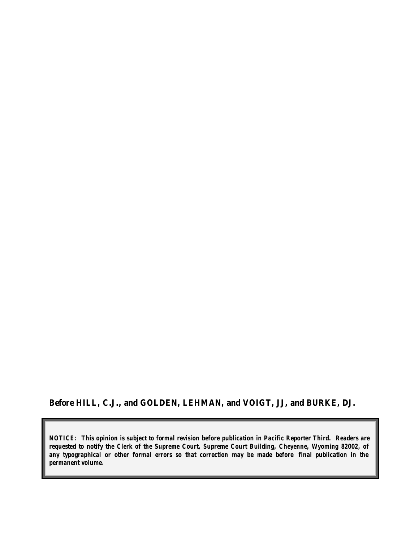## **Before HILL, C.J., and GOLDEN, LEHMAN, and VOIGT, JJ, and BURKE, DJ.**

*NOTICE: This opinion is subject to formal revision before publication in Pacific Reporter Third. Readers are requested to notify the Clerk of the Supreme Court, Supreme Court Building, Cheyenne, Wyoming 82002, of any typographical or other formal errors so that correction may be made before final publication in the permanent volume.*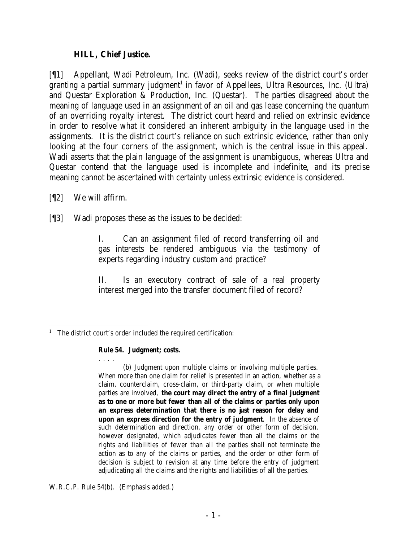### **HILL, Chief Justice.**

[¶1] Appellant, Wadi Petroleum, Inc. (Wadi), seeks review of the district court's order granting a partial summary judgment<sup>1</sup> in favor of Appellees, Ultra Resources, Inc. (Ultra) and Questar Exploration & Production, Inc. (Questar). The parties disagreed about the meaning of language used in an assignment of an oil and gas lease concerning the quantum of an overriding royalty interest. The district court heard and relied on extrinsic evidence in order to resolve what it considered an inherent ambiguity in the language used in the assignments. It is the district court's reliance on such extrinsic evidence, rather than only looking at the four corners of the assignment, which is the central issue in this appeal. Wadi asserts that the plain language of the assignment is unambiguous, whereas Ultra and Questar contend that the language used is incomplete and indefinite, and its precise meaning cannot be ascertained with certainty unless extrinsic evidence is considered.

- [¶2] We will affirm.
- [¶3] Wadi proposes these as the issues to be decided:

I. Can an assignment filed of record transferring oil and gas interests be rendered ambiguous via the testimony of experts regarding industry custom and practice?

II. Is an executory contract of sale of a real property interest merged into the transfer document filed of record?

#### **Rule 54. Judgment; costs.**

. . . . (b) Judgment upon multiple claims or involving multiple parties. When more than one claim for relief is presented in an action, whether as a claim, counterclaim, cross-claim, or third-party claim, or when multiple parties are involved, **the court may direct the entry of a final judgment as to one or more but fewer than all of the claims or parties only upon an express determination that there is no just reason for delay and upon an express direction for the entry of judgment**. In the absence of such determination and direction, any order or other form of decision, however designated, which adjudicates fewer than all the claims or the rights and liabilities of fewer than all the parties shall not terminate the action as to any of the claims or parties, and the order or other form of decision is subject to revision at any time before the entry of judgment adjudicating all the claims and the rights and liabilities of all the parties.

W.R.C.P. Rule 54(b). (Emphasis added.)

 <sup>1</sup> The district court's order included the required certification: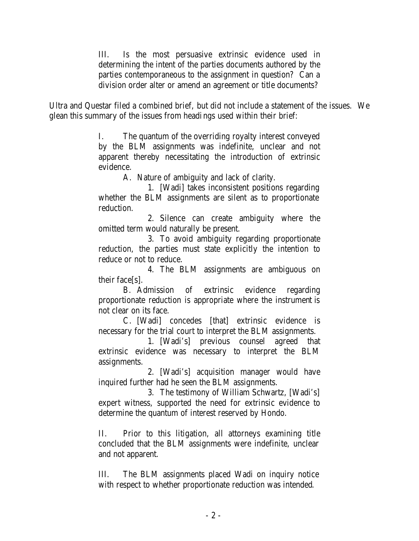III. Is the most persuasive extrinsic evidence used in determining the intent of the parties documents authored by the parties contemporaneous to the assignment in question? Can a division order alter or amend an agreement or title documents?

Ultra and Questar filed a combined brief, but did not include a statement of the issues. We glean this summary of the issues from headings used within their brief:

> I. The quantum of the overriding royalty interest conveyed by the BLM assignments was indefinite, unclear and not apparent thereby necessitating the introduction of extrinsic evidence.

A. Nature of ambiguity and lack of clarity.

1. [Wadi] takes inconsistent positions regarding whether the BLM assignments are silent as to proportionate reduction.

2. Silence can create ambiguity where the omitted term would naturally be present.

3. To avoid ambiguity regarding proportionate reduction, the parties must state explicitly the intention to reduce or not to reduce.

4. The BLM assignments are ambiguous on their face[s].

B. Admission of extrinsic evidence regarding proportionate reduction is appropriate where the instrument is not clear on its face.

C. [Wadi] concedes [that] extrinsic evidence is necessary for the trial court to interpret the BLM assignments.

1. [Wadi's] previous counsel agreed that extrinsic evidence was necessary to interpret the BLM assignments.

2. [Wadi's] acquisition manager would have inquired further had he seen the BLM assignments.

3. The testimony of William Schwartz, [Wadi's] expert witness, supported the need for extrinsic evidence to determine the quantum of interest reserved by Hondo.

II. Prior to this litigation, all attorneys examining title concluded that the BLM assignments were indefinite, unclear and not apparent.

III. The BLM assignments placed Wadi on inquiry notice with respect to whether proportionate reduction was intended.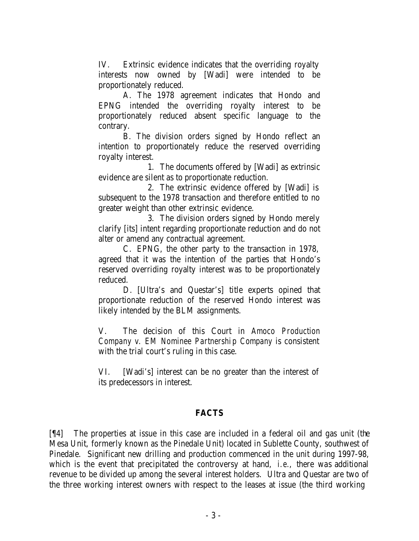IV. Extrinsic evidence indicates that the overriding royalty interests now owned by [Wadi] were intended to be proportionately reduced.

A. The 1978 agreement indicates that Hondo and EPNG intended the overriding royalty interest to be proportionately reduced absent specific language to the contrary.

B. The division orders signed by Hondo reflect an intention to proportionately reduce the reserved overriding royalty interest.

1. The documents offered by [Wadi] as extrinsic evidence are silent as to proportionate reduction.

2. The extrinsic evidence offered by [Wadi] is subsequent to the 1978 transaction and therefore entitled to no greater weight than other extrinsic evidence.

3. The division orders signed by Hondo merely clarify [its] intent regarding proportionate reduction and do not alter or amend any contractual agreement.

C. EPNG, the other party to the transaction in 1978, agreed that it was the intention of the parties that Hondo's reserved overriding royalty interest was to be proportionately reduced.

D. [Ultra's and Questar's] title experts opined that proportionate reduction of the reserved Hondo interest was likely intended by the BLM assignments.

V. The decision of this Court in *Amoco Production Company v. EM Nominee Partnership Company* is consistent with the trial court's ruling in this case.

VI. [Wadi's] interest can be no greater than the interest of its predecessors in interest.

## **FACTS**

[¶4] The properties at issue in this case are included in a federal oil and gas unit (the Mesa Unit, formerly known as the Pinedale Unit) located in Sublette County, southwest of Pinedale. Significant new drilling and production commenced in the unit during 1997-98, which is the event that precipitated the controversy at hand, *i.e.*, there was additional revenue to be divided up among the several interest holders. Ultra and Questar are two of the three working interest owners with respect to the leases at issue (the third working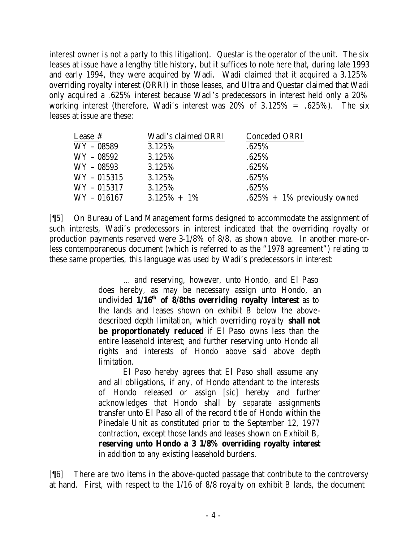interest owner is not a party to this litigation). Questar is the operator of the unit. The six leases at issue have a lengthy title history, but it suffices to note here that, during late 1993 and early 1994, they were acquired by Wadi. Wadi claimed that it acquired a 3.125% overriding royalty interest (ORRI) in those leases, and Ultra and Questar claimed that Wadi only acquired a .625% interest because Wadi's predecessors in interest held only a 20% working interest (therefore, Wadi's interest was  $20\%$  of  $3.125\% = .625\%$ ). The six leases at issue are these:

| Lease #     | Wadi's claimed ORRI | Conceded ORRI                   |
|-------------|---------------------|---------------------------------|
| WY – 08589  | 3.125\%             | $.625\%$                        |
| WY – 08592  | 3.125%              | .625%                           |
| WY – 08593  | 3.125%              | .625%                           |
| WY - 015315 | 3.125%              | .625%                           |
| WY – 015317 | 3.125\%             | .625%                           |
| WY – 016167 | $3.125\% + 1\%$     | $.625\% + 1\%$ previously owned |
|             |                     |                                 |

[¶5] On Bureau of Land Management forms designed to accommodate the assignment of such interests, Wadi's predecessors in interest indicated that the overriding royalty or production payments reserved were 3-1/8% of 8/8, as shown above. In another more-orless contemporaneous document (which is referred to as the "1978 agreement") relating to these same properties, this language was used by Wadi's predecessors in interest:

> … and reserving, however, unto Hondo, and El Paso does hereby, as may be necessary assign unto Hondo, an undivided **1/16th of 8/8ths overriding royalty interest** as to the lands and leases shown on exhibit B below the abovedescribed depth limitation, which overriding royalty **shall not be proportionately reduced** if El Paso owns less than the entire leasehold interest; and further reserving unto Hondo all rights and interests of Hondo above said above depth limitation.

> El Paso hereby agrees that El Paso shall assume any and all obligations, if any, of Hondo attendant to the interests of Hondo released or assign [*sic*] hereby and further acknowledges that Hondo shall by separate assignments transfer unto El Paso all of the record title of Hondo within the Pinedale Unit as constituted prior to the September 12, 1977 contraction, except those lands and leases shown on Exhibit B, **reserving unto Hondo a 3 1/8% overriding royalty interest** in addition to any existing leasehold burdens.

[¶6] There are two items in the above-quoted passage that contribute to the controversy at hand. First, with respect to the 1/16 of 8/8 royalty on exhibit B lands, the document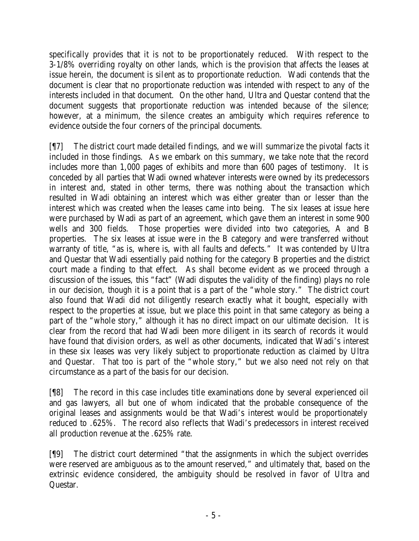specifically provides that it is not to be proportionately reduced. With respect to the 3-1/8% overriding royalty on other lands, which is the provision that affects the leases at issue herein, the document is silent as to proportionate reduction. Wadi contends that the document is clear that no proportionate reduction was intended with respect to any of the interests included in that document. On the other hand, Ultra and Questar contend that the document suggests that proportionate reduction was intended because of the silence; however, at a minimum, the silence creates an ambiguity which requires reference to evidence outside the four corners of the principal documents.

[¶7] The district court made detailed findings, and we will summarize the pivotal facts it included in those findings. As we embark on this summary, we take note that the record includes more than 1,000 pages of exhibits and more than 600 pages of testimony. It is conceded by all parties that Wadi owned whatever interests were owned by its predecessors in interest and, stated in other terms, there was nothing about the transaction which resulted in Wadi obtaining an interest which was either greater than or lesser than the interest which was created when the leases came into being. The six leases at issue here were purchased by Wadi as part of an agreement, which gave them an interest in some 900 wells and 300 fields. Those properties were divided into two categories, A and B properties. The six leases at issue were in the B category and were transferred without warranty of title, "as is, where is, with all faults and defects." It was contended by Ultra and Questar that Wadi essentially paid nothing for the category B properties and the district court made a finding to that effect. As shall become evident as we proceed through a discussion of the issues, this "fact" (Wadi disputes the validity of the finding) plays no role in our decision, though it is a point that is a part of the "whole story." The district court also found that Wadi did not diligently research exactly what it bought, especially with respect to the properties at issue, but we place this point in that same category as being a part of the "whole story," although it has no direct impact on our ultimate decision. It is clear from the record that had Wadi been more diligent in its search of records it would have found that division orders, as well as other documents, indicated that Wadi's interest in these six leases was very likely subject to proportionate reduction as claimed by Ultra and Questar. That too is part of the "whole story," but we also need not rely on that circumstance as a part of the basis for our decision.

[¶8] The record in this case includes title examinations done by several experienced oil and gas lawyers, all but one of whom indicated that the probable consequence of the original leases and assignments would be that Wadi's interest would be proportionately reduced to .625%. The record also reflects that Wadi's predecessors in interest received all production revenue at the .625% rate.

[¶9] The district court determined "that the assignments in which the subject overrides were reserved are ambiguous as to the amount reserved," and ultimately that, based on the extrinsic evidence considered, the ambiguity should be resolved in favor of Ultra and Questar.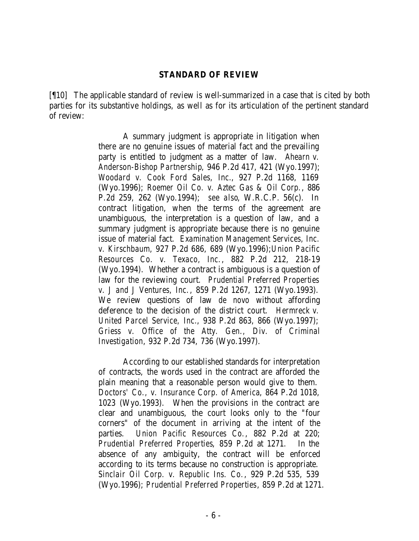#### **STANDARD OF REVIEW**

[¶10] The applicable standard of review is well-summarized in a case that is cited by both parties for its substantive holdings, as well as for its articulation of the pertinent standard of review:

> A summary judgment is appropriate in litigation when there are no genuine issues of material fact and the prevailing party is entitled to judgment as a matter of law. *Ahearn v. Anderson-Bishop Partnership*, 946 P.2d 417, 421 (Wyo.1997); *Woodard v. Cook Ford Sales, Inc.*, 927 P.2d 1168, 1169 (Wyo.1996); *Roemer Oil Co. v. Aztec Gas & Oil Corp.*, 886 P.2d 259, 262 (Wyo.1994); *see also*, W.R.C.P. 56(c). In contract litigation, when the terms of the agreement are unambiguous, the interpretation is a question of law, and a summary judgment is appropriate because there is no genuine issue of material fact. *Examination Management Services, Inc. v. Kirschbaum*, 927 P.2d 686, 689 (Wyo.1996);*Union Pacific Resources Co. v. Texaco, Inc.*, 882 P.2d 212, 218-19 (Wyo.1994). Whether a contract is ambiguous is a question of law for the reviewing court. *Prudential Preferred Properties v. J and J Ventures, Inc.*, 859 P.2d 1267, 1271 (Wyo.1993). We review questions of law *de novo* without affording deference to the decision of the district court. *Hermreck v. United Parcel Service, Inc.*, 938 P.2d 863, 866 (Wyo.1997); *Griess v. Office of the Atty. Gen., Div. of Criminal Investigation*, 932 P.2d 734, 736 (Wyo.1997).

> According to our established standards for interpretation of contracts, the words used in the contract are afforded the plain meaning that a reasonable person would give to them. *Doctors' Co., v. Insurance Corp. of America*, 864 P.2d 1018, 1023 (Wyo.1993). When the provisions in the contract are clear and unambiguous, the court looks only to the "four corners" of the document in arriving at the intent of the parties. *Union Pacific Resources Co.*, 882 P.2d at 220; *Prudential Preferred Properties*, 859 P.2d at 1271. In the absence of any ambiguity, the contract will be enforced according to its terms because no construction is appropriate. *Sinclair Oil Corp. v. Republic Ins. Co.*, 929 P.2d 535, 539 (Wyo.1996); *Prudential Preferred Properties*, 859 P.2d at 1271.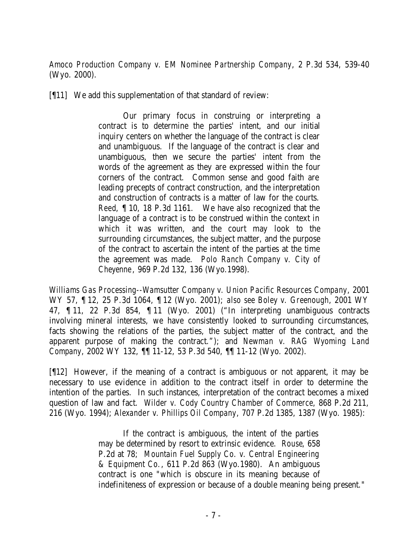*Amoco Production Company v. EM Nominee Partnership Company*, 2 P.3d 534, 539-40 (Wyo. 2000).

[¶11] We add this supplementation of that standard of review:

Our primary focus in construing or interpreting a contract is to determine the parties' intent, and our initial inquiry centers on whether the language of the contract is clear and unambiguous. If the language of the contract is clear and unambiguous, then we secure the parties' intent from the words of the agreement as they are expressed within the four corners of the contract. Common sense and good faith are leading precepts of contract construction, and the interpretation and construction of contracts is a matter of law for the courts. *Reed*, ¶ 10, 18 P.3d 1161. We have also recognized that the language of a contract is to be construed within the context in which it was written, and the court may look to the surrounding circumstances, the subject matter, and the purpose of the contract to ascertain the intent of the parties at the time the agreement was made. *Polo Ranch Company v. City of Cheyenne*, 969 P.2d 132, 136 (Wyo.1998).

*Williams Gas Processing--Wamsutter Company v. Union Pacific Resources Company*, 2001 WY 57, ¶ 12, 25 P.3d 1064, ¶ 12 (Wyo. 2001); *also see Boley v. Greenough*, 2001 WY 47, ¶ 11, 22 P.3d 854, ¶ 11 (Wyo. 2001) ("In interpreting unambiguous contracts involving mineral interests, we have consistently looked to surrounding circumstances, facts showing the relations of the parties, the subject matter of the contract, and the apparent purpose of making the contract."); and *Newman v. RAG Wyoming Land Company*, 2002 WY 132, ¶¶ 11-12, 53 P.3d 540, ¶¶ 11-12 (Wyo. 2002).

[¶12] However, if the meaning of a contract is ambiguous or not apparent, it may be necessary to use evidence in addition to the contract itself in order to determine the intention of the parties. In such instances, interpretation of the contract becomes a mixed question of law and fact. *Wilder v. Cody Country Chamber of Commerce*, 868 P.2d 211, 216 (Wyo. 1994); *Alexander v. Phillips Oil Company*, 707 P.2d 1385, 1387 (Wyo. 1985):

> If the contract is ambiguous, the intent of the parties may be determined by resort to extrinsic evidence. *Rouse*, 658 P.2d at 78; *Mountain Fuel Supply Co. v. Central Engineering & Equipment Co.*, 611 P.2d 863 (Wyo.1980). An ambiguous contract is one "which is obscure in its meaning because of indefiniteness of expression or because of a double meaning being present."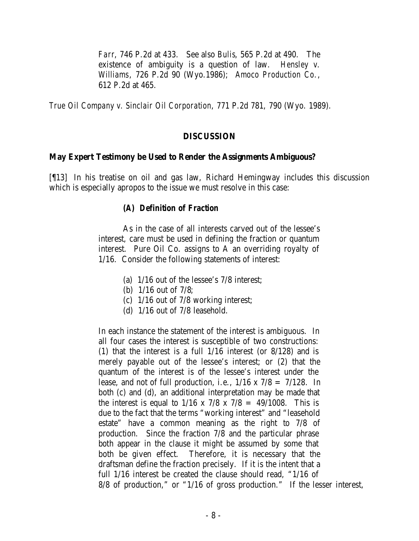*Farr*, 746 P.2d at 433. See also *Bulis*, 565 P.2d at 490. The existence of ambiguity is a question of law. *Hensley v. Williams*, 726 P.2d 90 (Wyo.1986); *Amoco Production Co.*, 612 P.2d at 465.

*True Oil Company v. Sinclair Oil Corporation*, 771 P.2d 781, 790 (Wyo. 1989).

### **DISCUSSION**

### **May Expert Testimony be Used to Render the Assignments Ambiguous?**

[¶13] In his treatise on oil and gas law, Richard Hemingway includes this discussion which is especially apropos to the issue we must resolve in this case:

### *(A) Definition of Fraction*

As in the case of all interests carved out of the lessee's interest, care must be used in defining the fraction or quantum interest. Pure Oil Co. assigns to A an overriding royalty of 1/16. Consider the following statements of interest:

- (a) 1/16 out of the lessee's 7/8 interest;
- (b) 1/16 out of 7/8;
- (c) 1/16 out of 7/8 working interest;
- (d) 1/16 out of 7/8 leasehold.

In each instance the statement of the interest is ambiguous. In all four cases the interest is susceptible of two constructions: (1) that the interest is a full 1/16 interest (or 8/128) and is merely payable out of the lessee's interest; or (2) that the quantum of the interest is of the lessee's interest under the lease, and not of full production, i.e.,  $1/16 \times 7/8 = 7/128$ . In both (c) and (d), an additional interpretation may be made that the interest is equal to  $1/16 \times 7/8 \times 7/8 = 49/1008$ . This is due to the fact that the terms "working interest" and "leasehold estate" have a common meaning as the right to 7/8 of production. Since the fraction 7/8 and the particular phrase both appear in the clause it might be assumed by some that both be given effect. Therefore, it is necessary that the draftsman define the fraction precisely. If it is the intent that a full 1/16 interest be created the clause should read, "1/16 of 8/8 of production," or "1/16 of gross production." If the lesser interest,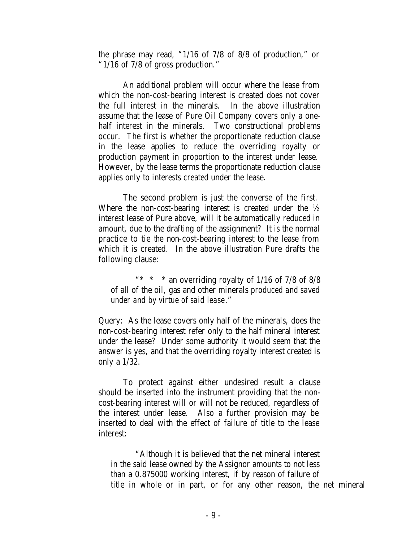the phrase may read, "1/16 of 7/8 of 8/8 of production," or "1/16 of 7/8 of gross production."

An additional problem will occur where the lease from which the non-cost-bearing interest is created does not cover the full interest in the minerals. In the above illustration assume that the lease of Pure Oil Company covers only a onehalf interest in the minerals. Two constructional problems occur. The first is whether the proportionate reduction clause in the lease applies to reduce the overriding royalty or production payment in proportion to the interest under lease. However, by the lease terms the proportionate reduction clause applies only to interests created under the lease.

The second problem is just the converse of the first. Where the non-cost-bearing interest is created under the  $\frac{1}{2}$ interest lease of Pure above, will it be automatically reduced in amount, due to the drafting of the assignment? It is the normal practice to tie the non-cost-bearing interest to the lease from which it is created. In the above illustration Pure drafts the following clause:

"\* \* \* an overriding royalty of  $1/16$  of  $7/8$  of  $8/8$ of all of the oil, gas and other minerals *produced and saved under and by virtue of said lease*."

Query: As the lease covers only half of the minerals, does the non-cost-bearing interest refer only to the half mineral interest under the lease? Under some authority it would seem that the answer is yes, and that the overriding royalty interest created is only a 1/32.

To protect against either undesired result a clause should be inserted into the instrument providing that the noncost-bearing interest will or will not be reduced, regardless of the interest under lease. Also a further provision may be inserted to deal with the effect of failure of title to the lease interest:

"Although it is believed that the net mineral interest in the said lease owned by the Assignor amounts to not less than a 0.875000 working interest, if by reason of failure of title in whole or in part, or for any other reason, the net mineral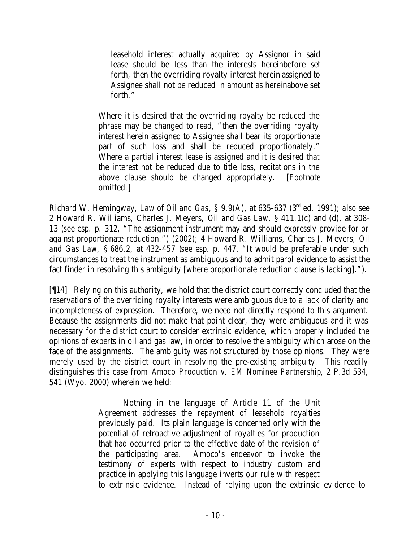leasehold interest actually acquired by Assignor in said lease should be less than the interests hereinbefore set forth, then the overriding royalty interest herein assigned to Assignee shall not be reduced in amount as hereinabove set forth."

Where it is desired that the overriding royalty be reduced the phrase may be changed to read, "then the overriding royalty interest herein assigned to Assignee shall bear its proportionate part of such loss and shall be reduced proportionately." Where a partial interest lease is assigned and it is desired that the interest not be reduced due to title loss, recitations in the above clause should be changed appropriately. [Footnote omitted.]

Richard W. Hemingway, *Law of Oil and Gas*, § 9.9(A), at 635-637 (3rd ed. 1991); *also see* 2 Howard R. Williams, Charles J. Meyers, *Oil and Gas Law*, § 411.1(c) and (d), at 308- 13 (*see* esp. p. 312, "The assignment instrument may and should expressly provide for or against proportionate reduction.") (2002); 4 Howard R. Williams, Charles J. Meyers, *Oil and Gas Law*, § 686.2, at 432-457 (*see* esp. p. 447, "It would be preferable under such circumstances to treat the instrument as ambiguous and to admit parol evidence to assist the fact finder in resolving this ambiguity [where proportionate reduction clause is lacking].").

[¶14] Relying on this authority, we hold that the district court correctly concluded that the reservations of the overriding royalty interests were ambiguous due to a lack of clarity and incompleteness of expression. Therefore, we need not directly respond to this argument. Because the assignments did not make that point clear, they were ambiguous and it was necessary for the district court to consider extrinsic evidence, which properly included the opinions of experts in oil and gas law, in order to resolve the ambiguity which arose on the face of the assignments. The ambiguity was not structured by those opinions. They were merely used by the district court in resolving the pre-existing ambiguity. This readily distinguishes this case from *Amoco Production v. EM Nominee Partnership*, 2 P.3d 534, 541 (Wyo. 2000) wherein we held:

> Nothing in the language of Article 11 of the Unit Agreement addresses the repayment of leasehold royalties previously paid. Its plain language is concerned only with the potential of retroactive adjustment of royalties for production that had occurred prior to the effective date of the revision of the participating area. Amoco's endeavor to invoke the testimony of experts with respect to industry custom and practice in applying this language inverts our rule with respect to extrinsic evidence. Instead of relying upon the extrinsic evidence to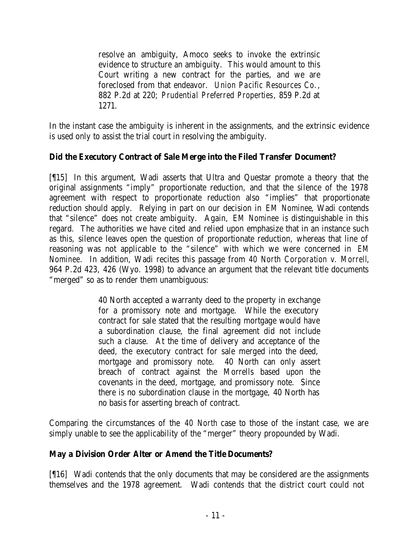resolve an ambiguity, Amoco seeks to invoke the extrinsic evidence to structure an ambiguity. This would amount to this Court writing a new contract for the parties, and we are foreclosed from that endeavor. *Union Pacific Resources Co.*, 882 P.2d at 220; *Prudential Preferred Properties*, 859 P.2d at 1271.

In the instant case the ambiguity is inherent in the assignments, and the extrinsic evidence is used only to assist the trial court in resolving the ambiguity.

# **Did the Executory Contract of Sale Merge into the Filed Transfer Document?**

[¶15] In this argument, Wadi asserts that Ultra and Questar promote a theory that the original assignments "imply" proportionate reduction, and that the silence of the 1978 agreement with respect to proportionate reduction also "implies" that proportionate reduction should apply. Relying in part on our decision in *EM Nominee*, Wadi contends that "silence" does not create ambiguity. Again, *EM Nominee* is distinguishable in this regard. The authorities we have cited and relied upon emphasize that in an instance such as this, silence leaves open the question of proportionate reduction, whereas that line of reasoning was not applicable to the "silence" with which we were concerned in *EM Nominee*. In addition, Wadi recites this passage from *40 North Corporation v. Morrell*, 964 P.2d 423, 426 (Wyo. 1998) to advance an argument that the relevant title documents "merged" so as to render them unambiguous:

> 40 North accepted a warranty deed to the property in exchange for a promissory note and mortgage. While the executory contract for sale stated that the resulting mortgage would have a subordination clause, the final agreement did not include such a clause. At the time of delivery and acceptance of the deed, the executory contract for sale merged into the deed, mortgage and promissory note. 40 North can only assert breach of contract against the Morrells based upon the covenants in the deed, mortgage, and promissory note. Since there is no subordination clause in the mortgage, 40 North has no basis for asserting breach of contract.

Comparing the circumstances of the *40 North* case to those of the instant case, we are simply unable to see the applicability of the "merger" theory propounded by Wadi.

# **May a Division Order Alter or Amend the Title Documents?**

[¶16] Wadi contends that the only documents that may be considered are the assignments themselves and the 1978 agreement. Wadi contends that the district court could not